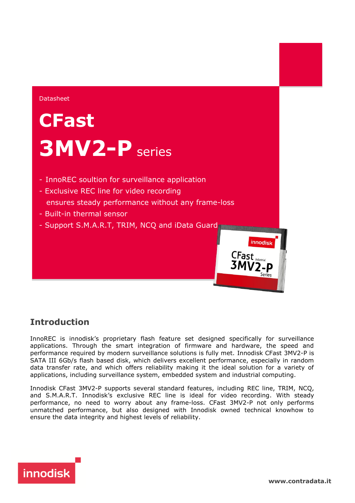

## **Introduction**

InnoREC is innodisk's proprietary flash feature set designed specifically for surveillance applications. Through the smart integration of firmware and hardware, the speed and performance required by modern surveillance solutions is fully met. Innodisk CFast 3MV2-P is SATA III 6Gb/s flash based disk, which delivers excellent performance, especially in random data transfer rate, and which offers reliability making it the ideal solution for a variety of applications, including surveillance system, embedded system and industrial computing.

Innodisk CFast 3MV2-P supports several standard features, including REC line, TRIM, NCQ, and S.M.A.R.T. Innodisk's exclusive REC line is ideal for video recording. With steady performance, no need to worry about any frame-loss. CFast 3MV2-P not only performs unmatched performance, but also designed with Innodisk owned technical knowhow to ensure the data integrity and highest levels of reliability.